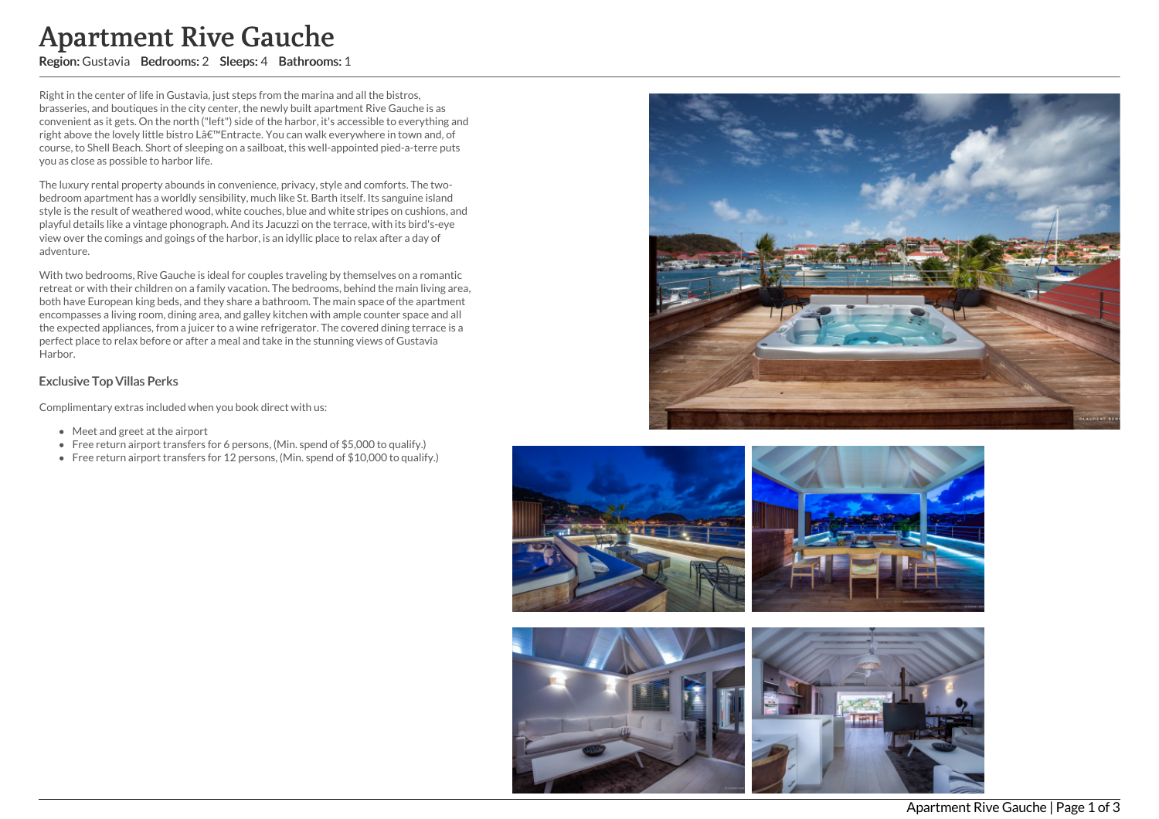## Apartment Rive Gauche

Region: Gustavia Bedrooms: 2 Sleeps: 4 Bathrooms: 1

Right in the center of life in Gustavia, just steps from the marina and all the bistros, brasseries, and boutiques in the city center, the newly built apartment Rive Gauche is as convenient as it gets. On the north ("left") side of the harbor, it's accessible to everything and right above the lovely little bistro L'Entracte. You can walk everywhere in town and, of course, to Shell Beach. Short of sleeping on a sailboat, this well-appointed pied-a-terre puts you as close as possible to harbor life.

The luxury rental property abounds in convenience, privacy, style and comforts. The twobedroom apartment has a worldly sensibility, much like St. Barth itself. Its sanguine island style is the result of weathered wood, white couches, blue and white stripes on cushions, and playful details like a vintage phonograph. And its Jacuzzi on the terrace, with its bird's-eye view over the comings and goings of the harbor, is an idyllic place to relax after a day of adventure.

With two bedrooms, Rive Gauche is ideal for couples traveling by themselves on a romantic retreat or with their children on a family vacation. The bedrooms, behind the main living area, both have European king beds, and they share a bathroom. The main space of the apartment encompasses a living room, dining area, and galley kitchen with ample counter space and all the expected appliances, from a juicer to a wine refrigerator. The covered dining terrace is a perfect place to relax before or after a meal and take in the stunning views of Gustavia Harbor.

## Exclusive Top Villas Perks

Complimentary extras included when you book direct with us:

- Meet and greet at the airport
- Free return airport transfers for 6 persons, (Min. spend of \$5,000 to qualify.)
- Free return airport transfers for 12 persons, (Min. spend of \$10,000 to qualify.)





Apartment Rive Gauche | Page 1 of 3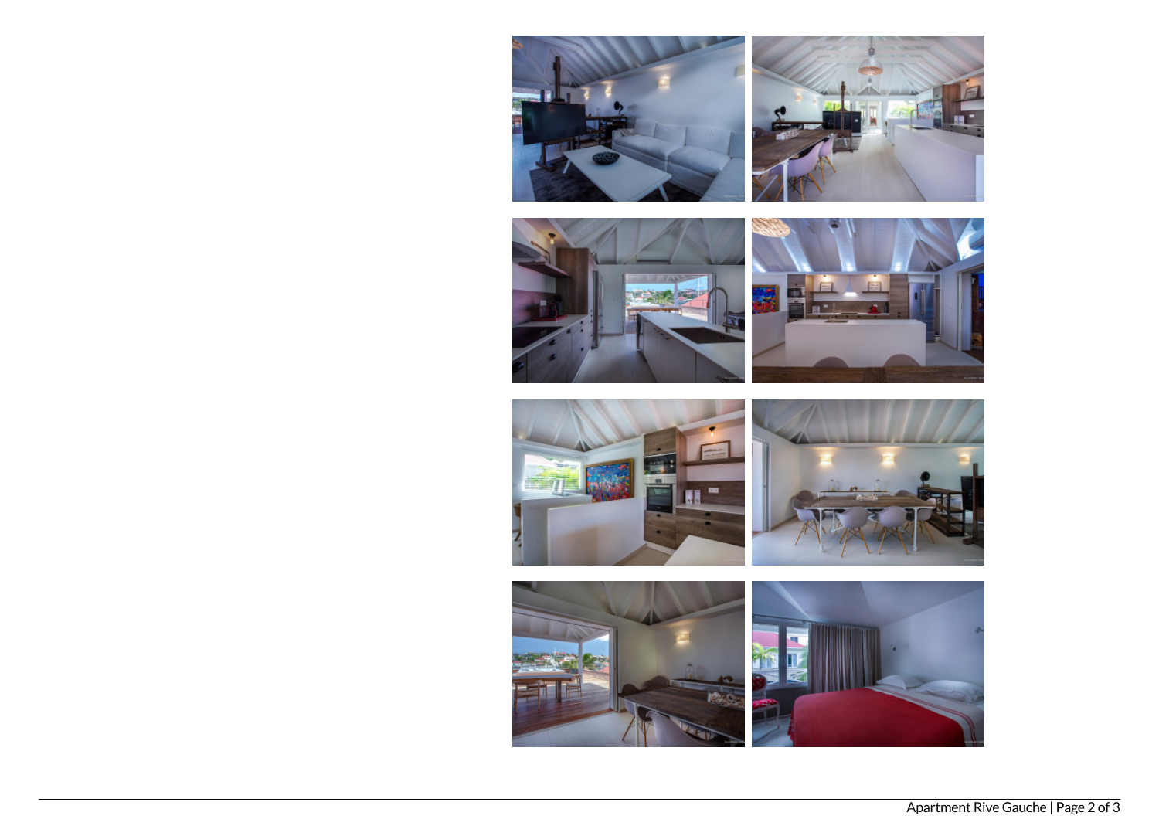